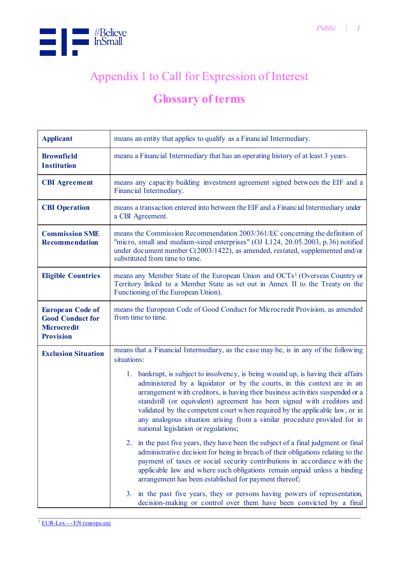

## Appendix 1 to Call for Expression of Interest

## **Glossary of terms**

| <b>Applicant</b>                                                                             | means an entity that applies to qualify as a Financial Intermediary.                                                                                                                                                                                                                                                                                                                                                                                                                                                             |  |  |
|----------------------------------------------------------------------------------------------|----------------------------------------------------------------------------------------------------------------------------------------------------------------------------------------------------------------------------------------------------------------------------------------------------------------------------------------------------------------------------------------------------------------------------------------------------------------------------------------------------------------------------------|--|--|
| <b>Brownfield</b><br><b>Institution</b>                                                      | means a Financial Intermediary that has an operating history of at least 3 years.                                                                                                                                                                                                                                                                                                                                                                                                                                                |  |  |
| <b>CBI</b> Agreement                                                                         | means any capacity building investment agreement signed between the EIF and a<br>Financial Intermediary.                                                                                                                                                                                                                                                                                                                                                                                                                         |  |  |
| <b>CBI</b> Operation                                                                         | means a transaction entered into between the EIF and a Financial Intermediary under<br>a CBI Agreement.                                                                                                                                                                                                                                                                                                                                                                                                                          |  |  |
| <b>Commission SME</b><br><b>Recommendation</b>                                               | means the Commission Recommendation 2003/361/EC concerning the definition of<br>"micro, small and medium-sized enterprises" (OJ L124, 20.05.2003, p.36) notified<br>under document number C(2003/1422), as amended, restated, supplemented and/or<br>substituted from time to time.                                                                                                                                                                                                                                              |  |  |
| <b>Eligible Countries</b>                                                                    | means any Member State of the European Union and OCTs <sup>1</sup> (Overseas Country or<br>Territory linked to a Member State as set out in Annex II to the Treaty on the<br>Functioning of the European Union).                                                                                                                                                                                                                                                                                                                 |  |  |
| <b>European Code of</b><br><b>Good Conduct for</b><br><b>Microcredit</b><br><b>Provision</b> | means the European Code of Good Conduct for Microcredit Provision, as amended<br>from time to time.                                                                                                                                                                                                                                                                                                                                                                                                                              |  |  |
| <b>Exclusion Situation</b>                                                                   | means that a Financial Intermediary, as the case may be, is in any of the following<br>situations:                                                                                                                                                                                                                                                                                                                                                                                                                               |  |  |
|                                                                                              | bankrupt, is subject to insolvency, is being wound up, is having their affairs<br>1.<br>administered by a liquidator or by the courts, in this context are in an<br>arrangement with creditors, is having their business activities suspended or a<br>standstill (or equivalent) agreement has been signed with creditors and<br>validated by the competent court when required by the applicable law, or in<br>any analogous situation arising from a similar procedure provided for in<br>national legislation or regulations; |  |  |
|                                                                                              | in the past five years, they have been the subject of a final judgment or final<br>2.<br>administrative decision for being in breach of their obligations relating to the<br>payment of taxes or social security contributions in accordance with the<br>applicable law and where such obligations remain unpaid unless a binding<br>arrangement has been established for payment thereof;                                                                                                                                       |  |  |
|                                                                                              | in the past five years, they or persons having powers of representation,<br>3.<br>decision-making or control over them have been convicted by a final                                                                                                                                                                                                                                                                                                                                                                            |  |  |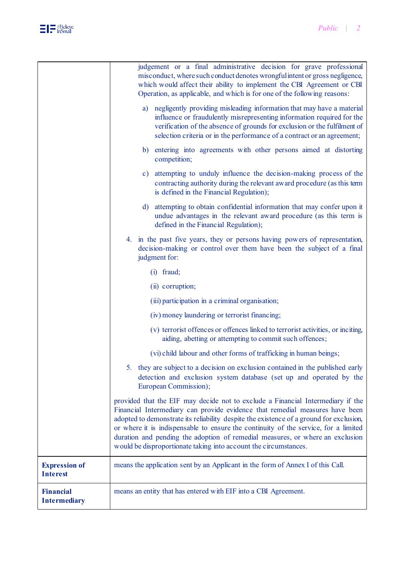

|                                         | judgement or a final administrative decision for grave professional<br>misconduct, where such conduct denotes wrongful intent or gross negligence,<br>which would affect their ability to implement the CBI Agreement or CBI<br>Operation, as applicable, and which is for one of the following reasons:                                                                                                                                                                                               |  |  |
|-----------------------------------------|--------------------------------------------------------------------------------------------------------------------------------------------------------------------------------------------------------------------------------------------------------------------------------------------------------------------------------------------------------------------------------------------------------------------------------------------------------------------------------------------------------|--|--|
|                                         | negligently providing misleading information that may have a material<br>a)<br>influence or fraudulently misrepresenting information required for the<br>verification of the absence of grounds for exclusion or the fulfilment of<br>selection criteria or in the performance of a contract or an agreement;                                                                                                                                                                                          |  |  |
|                                         | entering into agreements with other persons aimed at distorting<br>b)<br>competition;                                                                                                                                                                                                                                                                                                                                                                                                                  |  |  |
|                                         | attempting to unduly influence the decision-making process of the<br>$\mathbf{c})$<br>contracting authority during the relevant award procedure (as this term<br>is defined in the Financial Regulation);                                                                                                                                                                                                                                                                                              |  |  |
|                                         | attempting to obtain confidential information that may confer upon it<br>d)<br>undue advantages in the relevant award procedure (as this term is<br>defined in the Financial Regulation);                                                                                                                                                                                                                                                                                                              |  |  |
|                                         | 4. in the past five years, they or persons having powers of representation,<br>decision-making or control over them have been the subject of a final<br>judgment for:                                                                                                                                                                                                                                                                                                                                  |  |  |
|                                         | $(i)$ fraud;                                                                                                                                                                                                                                                                                                                                                                                                                                                                                           |  |  |
|                                         | (ii) corruption;                                                                                                                                                                                                                                                                                                                                                                                                                                                                                       |  |  |
|                                         | (iii) participation in a criminal organisation;                                                                                                                                                                                                                                                                                                                                                                                                                                                        |  |  |
|                                         | (iv) money laundering or terrorist financing;<br>(v) terrorist offences or offences linked to terrorist activities, or inciting,<br>aiding, abetting or attempting to commit such offences;<br>(vi) child labour and other forms of trafficking in human beings;<br>they are subject to a decision on exclusion contained in the published early<br>5.<br>detection and exclusion system database (set up and operated by the<br>European Commission);                                                 |  |  |
|                                         |                                                                                                                                                                                                                                                                                                                                                                                                                                                                                                        |  |  |
|                                         |                                                                                                                                                                                                                                                                                                                                                                                                                                                                                                        |  |  |
|                                         |                                                                                                                                                                                                                                                                                                                                                                                                                                                                                                        |  |  |
|                                         | provided that the EIF may decide not to exclude a Financial Intermediary if the<br>Financial Intermediary can provide evidence that remedial measures have been<br>adopted to demonstrate its reliability despite the existence of a ground for exclusion,<br>or where it is indispensable to ensure the continuity of the service, for a limited<br>duration and pending the adoption of remedial measures, or where an exclusion<br>would be disproportionate taking into account the circumstances. |  |  |
| <b>Expression of</b><br><b>Interest</b> | means the application sent by an Applicant in the form of Annex I of this Call.                                                                                                                                                                                                                                                                                                                                                                                                                        |  |  |
| <b>Financial</b><br><b>Intermediary</b> | means an entity that has entered with EIF into a CBI Agreement.                                                                                                                                                                                                                                                                                                                                                                                                                                        |  |  |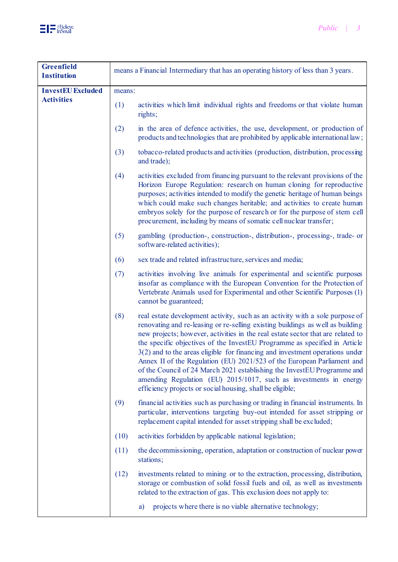

| <b>Greenfield</b><br><b>Institution</b> | means a Financial Intermediary that has an operating history of less than 3 years. |                                                                                                                                                                                                                                                                                                                                                                                                                                                                                                                                                                                                                                                                                                          |  |
|-----------------------------------------|------------------------------------------------------------------------------------|----------------------------------------------------------------------------------------------------------------------------------------------------------------------------------------------------------------------------------------------------------------------------------------------------------------------------------------------------------------------------------------------------------------------------------------------------------------------------------------------------------------------------------------------------------------------------------------------------------------------------------------------------------------------------------------------------------|--|
| <b>InvestEU Excluded</b>                | means:                                                                             |                                                                                                                                                                                                                                                                                                                                                                                                                                                                                                                                                                                                                                                                                                          |  |
| <b>Activities</b>                       | (1)                                                                                | activities which limit individual rights and freedoms or that violate human<br>rights;                                                                                                                                                                                                                                                                                                                                                                                                                                                                                                                                                                                                                   |  |
|                                         | (2)                                                                                | in the area of defence activities, the use, development, or production of<br>products and technologies that are prohibited by applicable international law;                                                                                                                                                                                                                                                                                                                                                                                                                                                                                                                                              |  |
|                                         | (3)                                                                                | tobacco-related products and activities (production, distribution, processing<br>and trade);                                                                                                                                                                                                                                                                                                                                                                                                                                                                                                                                                                                                             |  |
|                                         | (4)                                                                                | activities excluded from financing pursuant to the relevant provisions of the<br>Horizon Europe Regulation: research on human cloning for reproductive<br>purposes; activities intended to modify the genetic heritage of human beings<br>which could make such changes heritable; and activities to create human<br>embryos solely for the purpose of research or for the purpose of stem cell<br>procurement, including by means of somatic cell nuclear transfer;                                                                                                                                                                                                                                     |  |
|                                         | (5)                                                                                | gambling (production-, construction-, distribution-, processing-, trade- or<br>software-related activities);                                                                                                                                                                                                                                                                                                                                                                                                                                                                                                                                                                                             |  |
|                                         | (6)                                                                                | sex trade and related infrastructure, services and media;                                                                                                                                                                                                                                                                                                                                                                                                                                                                                                                                                                                                                                                |  |
|                                         | (7)                                                                                | activities involving live animals for experimental and scientific purposes<br>insofar as compliance with the European Convention for the Protection of<br>Vertebrate Animals used for Experimental and other Scientific Purposes (1)<br>cannot be guaranteed;                                                                                                                                                                                                                                                                                                                                                                                                                                            |  |
|                                         | (8)                                                                                | real estate development activity, such as an activity with a sole purpose of<br>renovating and re-leasing or re-selling existing buildings as well as building<br>new projects; however, activities in the real estate sector that are related to<br>the specific objectives of the InvestEU Programme as specified in Article<br>$3(2)$ and to the areas eligible for financing and investment operations under<br>Annex II of the Regulation (EU) 2021/523 of the European Parliament and<br>of the Council of 24 March 2021 establishing the InvestEU Programme and<br>amending Regulation (EU) 2015/1017, such as investments in energy<br>efficiency projects or social housing, shall be eligible; |  |
|                                         | (9)                                                                                | financial activities such as purchasing or trading in financial instruments. In<br>particular, interventions targeting buy-out intended for asset stripping or<br>replacement capital intended for asset stripping shall be excluded;                                                                                                                                                                                                                                                                                                                                                                                                                                                                    |  |
|                                         | (10)                                                                               | activities forbidden by applicable national legislation;                                                                                                                                                                                                                                                                                                                                                                                                                                                                                                                                                                                                                                                 |  |
|                                         | (11)                                                                               | the decommissioning, operation, adaptation or construction of nuclear power<br>stations;                                                                                                                                                                                                                                                                                                                                                                                                                                                                                                                                                                                                                 |  |
|                                         | (12)                                                                               | investments related to mining or to the extraction, processing, distribution,<br>storage or combustion of solid fossil fuels and oil, as well as investments<br>related to the extraction of gas. This exclusion does not apply to:                                                                                                                                                                                                                                                                                                                                                                                                                                                                      |  |
|                                         |                                                                                    | projects where there is no viable alternative technology;<br>a)                                                                                                                                                                                                                                                                                                                                                                                                                                                                                                                                                                                                                                          |  |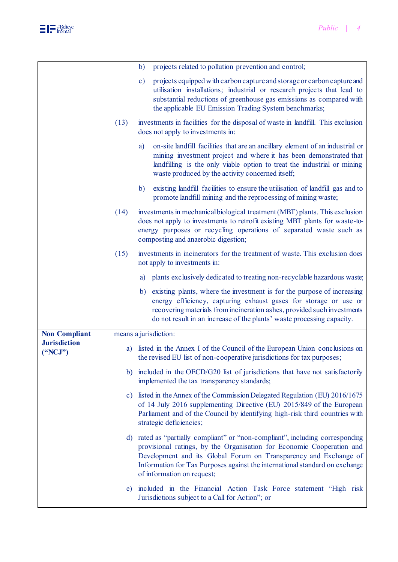|                                |                       | projects related to pollution prevention and control;<br>$\mathbf{b}$                                                                                                                                                                                                                                                                |  |  |
|--------------------------------|-----------------------|--------------------------------------------------------------------------------------------------------------------------------------------------------------------------------------------------------------------------------------------------------------------------------------------------------------------------------------|--|--|
|                                |                       | projects equipped with carbon capture and storage or carbon capture and<br>$\mathbf{c})$<br>utilisation installations; industrial or research projects that lead to<br>substantial reductions of greenhouse gas emissions as compared with<br>the applicable EU Emission Trading System benchmarks;                                  |  |  |
|                                | (13)                  | investments in facilities for the disposal of waste in landfill. This exclusion<br>does not apply to investments in:                                                                                                                                                                                                                 |  |  |
|                                |                       | on-site landfill facilities that are an ancillary element of an industrial or<br>a)<br>mining investment project and where it has been demonstrated that<br>landfilling is the only viable option to treat the industrial or mining<br>waste produced by the activity concerned itself;                                              |  |  |
|                                |                       | existing landfill facilities to ensure the utilisation of landfill gas and to<br>b)<br>promote landfill mining and the reprocessing of mining waste;                                                                                                                                                                                 |  |  |
|                                | (14)                  | investments in mechanical biological treatment (MBT) plants. This exclusion<br>does not apply to investments to retrofit existing MBT plants for waste-to-<br>energy purposes or recycling operations of separated waste such as<br>composting and anaerobic digestion;                                                              |  |  |
|                                | (15)                  | investments in incinerators for the treatment of waste. This exclusion does<br>not apply to investments in:                                                                                                                                                                                                                          |  |  |
|                                |                       | plants exclusively dedicated to treating non-recyclable hazardous waste;<br>a)                                                                                                                                                                                                                                                       |  |  |
|                                |                       | b) existing plants, where the investment is for the purpose of increasing<br>energy efficiency, capturing exhaust gases for storage or use or<br>recovering materials from incineration ashes, provided such investments<br>do not result in an increase of the plants' waste processing capacity.                                   |  |  |
| <b>Non Compliant</b>           | means a jurisdiction: |                                                                                                                                                                                                                                                                                                                                      |  |  |
| <b>Jurisdiction</b><br>("NCJ") |                       | a) listed in the Annex I of the Council of the European Union conclusions on<br>the revised EU list of non-cooperative jurisdictions for tax purposes;                                                                                                                                                                               |  |  |
|                                |                       | b) included in the OECD/G20 list of jurisdictions that have not satisfactorily<br>implemented the tax transparency standards;                                                                                                                                                                                                        |  |  |
|                                | $\mathbf{c})$         | listed in the Annex of the Commission Delegated Regulation (EU) 2016/1675<br>of 14 July 2016 supplementing Directive (EU) 2015/849 of the European<br>Parliament and of the Council by identifying high-risk third countries with<br>strategic deficiencies;                                                                         |  |  |
|                                | d)                    | rated as "partially compliant" or "non-compliant", including corresponding<br>provisional ratings, by the Organisation for Economic Cooperation and<br>Development and its Global Forum on Transparency and Exchange of<br>Information for Tax Purposes against the international standard on exchange<br>of information on request; |  |  |
|                                | e)                    | included in the Financial Action Task Force statement "High risk<br>Jurisdictions subject to a Call for Action"; or                                                                                                                                                                                                                  |  |  |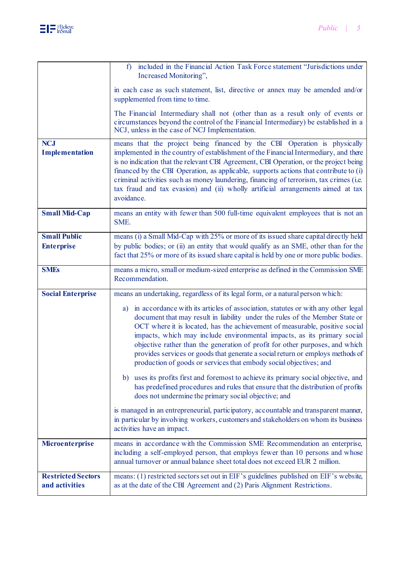

|                                             | included in the Financial Action Task Force statement "Jurisdictions under<br>f)<br>Increased Monitoring",                                                                                                                                                                                                                                                                                                                                                                                                                                                               |  |  |  |
|---------------------------------------------|--------------------------------------------------------------------------------------------------------------------------------------------------------------------------------------------------------------------------------------------------------------------------------------------------------------------------------------------------------------------------------------------------------------------------------------------------------------------------------------------------------------------------------------------------------------------------|--|--|--|
|                                             | in each case as such statement, list, directive or annex may be amended and/or<br>supplemented from time to time.                                                                                                                                                                                                                                                                                                                                                                                                                                                        |  |  |  |
|                                             | The Financial Intermediary shall not (other than as a result only of events or<br>circumstances beyond the control of the Financial Intermediary) be established in a<br>NCJ, unless in the case of NCJ Implementation.                                                                                                                                                                                                                                                                                                                                                  |  |  |  |
| <b>NCJ</b><br><b>Implementation</b>         | means that the project being financed by the CBI Operation is physically<br>implemented in the country of establishment of the Financial Intermediary, and there<br>is no indication that the relevant CBI Agreement, CBI Operation, or the project being<br>financed by the CBI Operation, as applicable, supports actions that contribute to (i)<br>criminal activities such as money laundering, financing of terrorism, tax crimes (i.e.<br>tax fraud and tax evasion) and (ii) wholly artificial arrangements aimed at tax<br>avoidance.                            |  |  |  |
| <b>Small Mid-Cap</b>                        | means an entity with fewer than 500 full-time equivalent employees that is not an<br>SME.                                                                                                                                                                                                                                                                                                                                                                                                                                                                                |  |  |  |
| <b>Small Public</b><br><b>Enterprise</b>    | means (i) a Small Mid-Cap with 25% or more of its issued share capital directly held<br>by public bodies; or (ii) an entity that would qualify as an SME, other than for the<br>fact that 25% or more of its issued share capital is held by one or more public bodies.                                                                                                                                                                                                                                                                                                  |  |  |  |
| <b>SMEs</b>                                 | means a micro, small or medium-sized enterprise as defined in the Commission SME<br>Recommendation.                                                                                                                                                                                                                                                                                                                                                                                                                                                                      |  |  |  |
| <b>Social Enterprise</b>                    | means an undertaking, regardless of its legal form, or a natural person which:                                                                                                                                                                                                                                                                                                                                                                                                                                                                                           |  |  |  |
|                                             | in accordance with its articles of association, statutes or with any other legal<br>a)<br>document that may result in liability under the rules of the Member State or<br>OCT where it is located, has the achievement of measurable, positive social<br>impacts, which may include environmental impacts, as its primary social<br>objective rather than the generation of profit for other purposes, and which<br>provides services or goods that generate a social return or employs methods of<br>production of goods or services that embody social objectives; and |  |  |  |
|                                             | uses its profits first and foremost to achieve its primary social objective, and<br>b)<br>has predefined procedures and rules that ensure that the distribution of profits<br>does not undermine the primary social objective; and                                                                                                                                                                                                                                                                                                                                       |  |  |  |
|                                             | is managed in an entrepreneurial, participatory, accountable and transparent manner,<br>in particular by involving workers, customers and stakeholders on whom its business<br>activities have an impact.                                                                                                                                                                                                                                                                                                                                                                |  |  |  |
| Microenterprise                             | means in accordance with the Commission SME Recommendation an enterprise,<br>including a self-employed person, that employs fewer than 10 persons and whose<br>annual turnover or annual balance sheet total does not exceed EUR 2 million.                                                                                                                                                                                                                                                                                                                              |  |  |  |
| <b>Restricted Sectors</b><br>and activities | means: (1) restricted sectors set out in EIF's guidelines published on EIF's website,<br>as at the date of the CBI Agreement and (2) Paris Alignment Restrictions.                                                                                                                                                                                                                                                                                                                                                                                                       |  |  |  |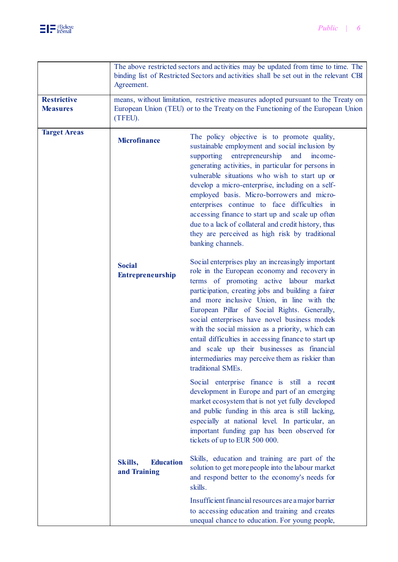|                                       | The above restricted sectors and activities may be updated from time to time. The<br>binding list of Restricted Sectors and activities shall be set out in the relevant CBI<br>Agreement. |                                                                                                                                                                                                                                                                                                                                                                                                                                                                                                                                                                                                |  |
|---------------------------------------|-------------------------------------------------------------------------------------------------------------------------------------------------------------------------------------------|------------------------------------------------------------------------------------------------------------------------------------------------------------------------------------------------------------------------------------------------------------------------------------------------------------------------------------------------------------------------------------------------------------------------------------------------------------------------------------------------------------------------------------------------------------------------------------------------|--|
| <b>Restrictive</b><br><b>Measures</b> | means, without limitation, restrictive measures adopted pursuant to the Treaty on<br>European Union (TEU) or to the Treaty on the Functioning of the European Union<br>(TFEU).            |                                                                                                                                                                                                                                                                                                                                                                                                                                                                                                                                                                                                |  |
| <b>Target Areas</b>                   | <b>Microfinance</b>                                                                                                                                                                       | The policy objective is to promote quality,<br>sustainable employment and social inclusion by<br>entrepreneurship<br>supporting<br>and<br>income-<br>generating activities, in particular for persons in<br>vulnerable situations who wish to start up or<br>develop a micro-enterprise, including on a self-<br>employed basis. Micro-borrowers and micro-<br>enterprises continue to face difficulties in<br>accessing finance to start up and scale up often<br>due to a lack of collateral and credit history, thus<br>they are perceived as high risk by traditional<br>banking channels. |  |
|                                       | <b>Social</b><br><b>Entrepreneurship</b>                                                                                                                                                  | Social enterprises play an increasingly important<br>role in the European economy and recovery in<br>terms of promoting active labour market<br>participation, creating jobs and building a fairer<br>and more inclusive Union, in line with the<br>European Pillar of Social Rights. Generally,<br>social enterprises have novel business models<br>with the social mission as a priority, which can<br>entail difficulties in accessing finance to start up<br>and scale up their businesses as financial<br>intermediaries may perceive them as riskier than<br>traditional SMEs.           |  |
|                                       |                                                                                                                                                                                           | Social enterprise finance is still a recent<br>development in Europe and part of an emerging<br>market ecosystem that is not yet fully developed<br>and public funding in this area is still lacking,<br>especially at national level. In particular, an<br>important funding gap has been observed for<br>tickets of up to EUR 500 000.                                                                                                                                                                                                                                                       |  |
|                                       | Skills,<br><b>Education</b><br>and Training                                                                                                                                               | Skills, education and training are part of the<br>solution to get more people into the labour market<br>and respond better to the economy's needs for<br>skills.                                                                                                                                                                                                                                                                                                                                                                                                                               |  |
|                                       |                                                                                                                                                                                           | Insufficient financial resources are a major barrier<br>to accessing education and training and creates<br>unequal chance to education. For young people,                                                                                                                                                                                                                                                                                                                                                                                                                                      |  |